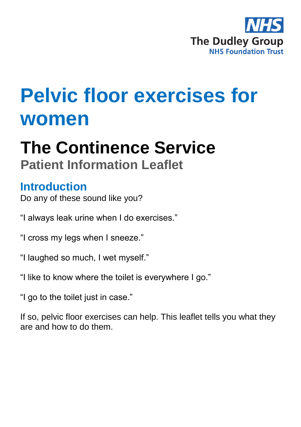

# **Pelvic floor exercises for women**

## **The Continence Service Patient Information Leaflet**

## **Introduction**

Do any of these sound like you?

- "I always leak urine when I do exercises."
- "I cross my legs when I sneeze."
- "I laughed so much, I wet myself."
- "I like to know where the toilet is everywhere I go."
- "I go to the toilet just in case."

If so, pelvic floor exercises can help. This leaflet tells you what they are and how to do them.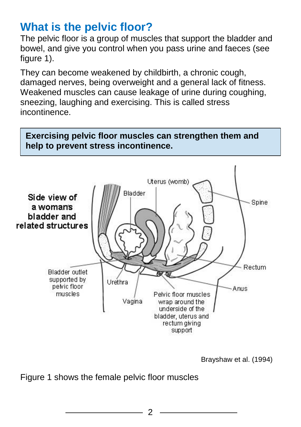## **What is the pelvic floor?**

The pelvic floor is a group of muscles that support the bladder and bowel, and give you control when you pass urine and faeces (see figure 1).

They can become weakened by childbirth, a chronic cough, damaged nerves, being overweight and a general lack of fitness. Weakened muscles can cause leakage of urine during coughing, sneezing, laughing and exercising. This is called stress incontinence.



Brayshaw et al. (1994)

Figure 1 shows the female pelvic floor muscles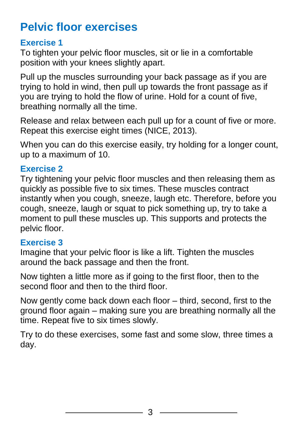## **Pelvic floor exercises**

#### **Exercise 1**

To tighten your pelvic floor muscles, sit or lie in a comfortable position with your knees slightly apart.

Pull up the muscles surrounding your back passage as if you are trying to hold in wind, then pull up towards the front passage as if you are trying to hold the flow of urine. Hold for a count of five, breathing normally all the time.

Release and relax between each pull up for a count of five or more. Repeat this exercise eight times (NICE, 2013).

When you can do this exercise easily, try holding for a longer count, up to a maximum of 10.

#### **Exercise 2**

Try tightening your pelvic floor muscles and then releasing them as quickly as possible five to six times. These muscles contract instantly when you cough, sneeze, laugh etc. Therefore, before you cough, sneeze, laugh or squat to pick something up, try to take a moment to pull these muscles up. This supports and protects the pelvic floor.

#### **Exercise 3**

Imagine that your pelvic floor is like a lift. Tighten the muscles around the back passage and then the front.

Now tighten a little more as if going to the first floor, then to the second floor and then to the third floor.

Now gently come back down each floor – third, second, first to the ground floor again – making sure you are breathing normally all the time. Repeat five to six times slowly.

Try to do these exercises, some fast and some slow, three times a day.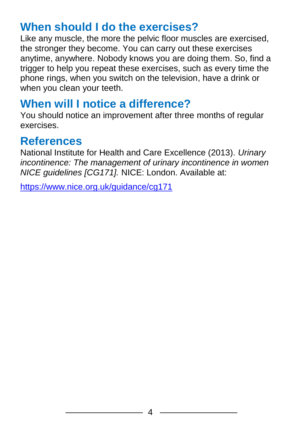## **When should I do the exercises?**

Like any muscle, the more the pelvic floor muscles are exercised, the stronger they become. You can carry out these exercises anytime, anywhere. Nobody knows you are doing them. So, find a trigger to help you repeat these exercises, such as every time the phone rings, when you switch on the television, have a drink or when you clean your teeth.

## **When will I notice a difference?**

You should notice an improvement after three months of regular exercises.

## **References**

National Institute for Health and Care Excellence (2013). *Urinary incontinence: The management of urinary incontinence in women NICE guidelines [CG171].* NICE: London. Available at:

<https://www.nice.org.uk/guidance/cg171>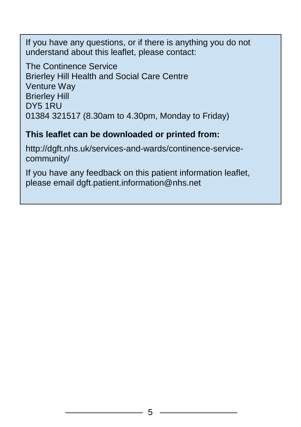If you have any questions, or if there is anything you do not understand about this leaflet, please contact:

The Continence Service Brierley Hill Health and Social Care Centre Venture Way Brierley Hill DY5 1RU 01384 321517 (8.30am to 4.30pm, Monday to Friday)

#### **This leaflet can be downloaded or printed from:**

http://dgft.nhs.uk/services-and-wards/continence-servicecommunity/

If you have any feedback on this patient information leaflet, please email dgft.patient.information@nhs.net